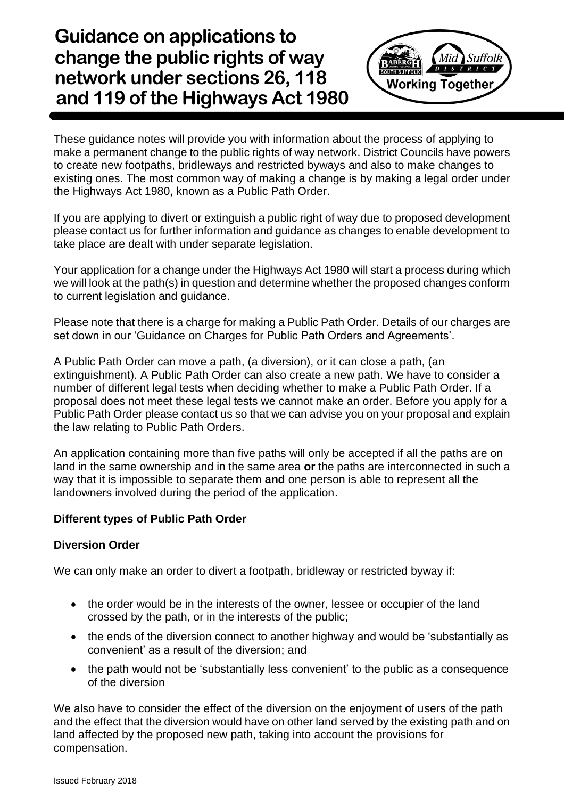**Guidance on applications to change the public rights of way network under sections 26, 118 and 119 of the Highways Act 1980** 



These guidance notes will provide you with information about the process of applying to make a permanent change to the public rights of way network. District Councils have powers to create new footpaths, bridleways and restricted byways and also to make changes to existing ones. The most common way of making a change is by making a legal order under the Highways Act 1980, known as a Public Path Order.

If you are applying to divert or extinguish a public right of way due to proposed development please contact us for further information and guidance as changes to enable development to take place are dealt with under separate legislation.

Your application for a change under the Highways Act 1980 will start a process during which we will look at the path(s) in question and determine whether the proposed changes conform to current legislation and guidance.

Please note that there is a charge for making a Public Path Order. Details of our charges are set down in our 'Guidance on Charges for Public Path Orders and Agreements'.

A Public Path Order can move a path, (a diversion), or it can close a path, (an extinguishment). A Public Path Order can also create a new path. We have to consider a number of different legal tests when deciding whether to make a Public Path Order. If a proposal does not meet these legal tests we cannot make an order. Before you apply for a Public Path Order please contact us so that we can advise you on your proposal and explain the law relating to Public Path Orders.

An application containing more than five paths will only be accepted if all the paths are on land in the same ownership and in the same area **or** the paths are interconnected in such a way that it is impossible to separate them **and** one person is able to represent all the landowners involved during the period of the application.

# **Different types of Public Path Order**

### **Diversion Order**

We can only make an order to divert a footpath, bridleway or restricted byway if:

- the order would be in the interests of the owner, lessee or occupier of the land crossed by the path, or in the interests of the public;
- the ends of the diversion connect to another highway and would be 'substantially as convenient' as a result of the diversion; and
- the path would not be 'substantially less convenient' to the public as a consequence of the diversion

We also have to consider the effect of the diversion on the enjoyment of users of the path and the effect that the diversion would have on other land served by the existing path and on land affected by the proposed new path, taking into account the provisions for compensation.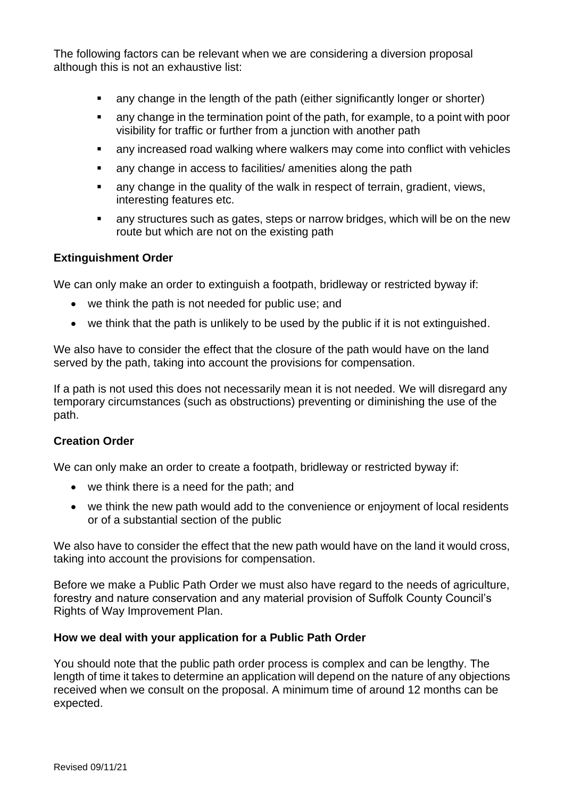The following factors can be relevant when we are considering a diversion proposal although this is not an exhaustive list:

- any change in the length of the path (either significantly longer or shorter)
- any change in the termination point of the path, for example, to a point with poor visibility for traffic or further from a junction with another path
- any increased road walking where walkers may come into conflict with vehicles
- any change in access to facilities/ amenities along the path
- any change in the quality of the walk in respect of terrain, gradient, views, interesting features etc.
- any structures such as gates, steps or narrow bridges, which will be on the new route but which are not on the existing path

### **Extinguishment Order**

We can only make an order to extinguish a footpath, bridleway or restricted byway if:

- we think the path is not needed for public use; and
- we think that the path is unlikely to be used by the public if it is not extinguished.

We also have to consider the effect that the closure of the path would have on the land served by the path, taking into account the provisions for compensation.

If a path is not used this does not necessarily mean it is not needed. We will disregard any temporary circumstances (such as obstructions) preventing or diminishing the use of the path.

# **Creation Order**

We can only make an order to create a footpath, bridleway or restricted byway if:

- we think there is a need for the path; and
- we think the new path would add to the convenience or enjoyment of local residents or of a substantial section of the public

We also have to consider the effect that the new path would have on the land it would cross, taking into account the provisions for compensation.

Before we make a Public Path Order we must also have regard to the needs of agriculture, forestry and nature conservation and any material provision of Suffolk County Council's Rights of Way Improvement Plan.

### **How we deal with your application for a Public Path Order**

You should note that the public path order process is complex and can be lengthy. The length of time it takes to determine an application will depend on the nature of any objections received when we consult on the proposal. A minimum time of around 12 months can be expected.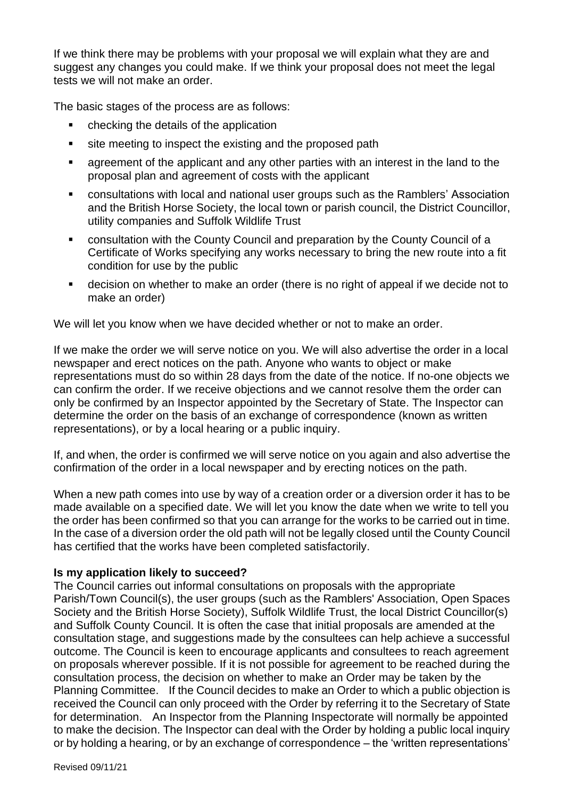If we think there may be problems with your proposal we will explain what they are and suggest any changes you could make. If we think your proposal does not meet the legal tests we will not make an order.

The basic stages of the process are as follows:

- checking the details of the application
- site meeting to inspect the existing and the proposed path
- agreement of the applicant and any other parties with an interest in the land to the proposal plan and agreement of costs with the applicant
- consultations with local and national user groups such as the Ramblers' Association and the British Horse Society, the local town or parish council, the District Councillor, utility companies and Suffolk Wildlife Trust
- consultation with the County Council and preparation by the County Council of a Certificate of Works specifying any works necessary to bring the new route into a fit condition for use by the public
- decision on whether to make an order (there is no right of appeal if we decide not to make an order)

We will let you know when we have decided whether or not to make an order.

If we make the order we will serve notice on you. We will also advertise the order in a local newspaper and erect notices on the path. Anyone who wants to object or make representations must do so within 28 days from the date of the notice. If no-one objects we can confirm the order. If we receive objections and we cannot resolve them the order can only be confirmed by an Inspector appointed by the Secretary of State. The Inspector can determine the order on the basis of an exchange of correspondence (known as written representations), or by a local hearing or a public inquiry.

If, and when, the order is confirmed we will serve notice on you again and also advertise the confirmation of the order in a local newspaper and by erecting notices on the path.

When a new path comes into use by way of a creation order or a diversion order it has to be made available on a specified date. We will let you know the date when we write to tell you the order has been confirmed so that you can arrange for the works to be carried out in time. In the case of a diversion order the old path will not be legally closed until the County Council has certified that the works have been completed satisfactorily.

### **Is my application likely to succeed?**

The Council carries out informal consultations on proposals with the appropriate Parish/Town Council(s), the user groups (such as the Ramblers' Association, Open Spaces Society and the British Horse Society), Suffolk Wildlife Trust, the local District Councillor(s) and Suffolk County Council. It is often the case that initial proposals are amended at the consultation stage, and suggestions made by the consultees can help achieve a successful outcome. The Council is keen to encourage applicants and consultees to reach agreement on proposals wherever possible. If it is not possible for agreement to be reached during the consultation process, the decision on whether to make an Order may be taken by the Planning Committee. If the Council decides to make an Order to which a public objection is received the Council can only proceed with the Order by referring it to the Secretary of State for determination. An Inspector from the Planning Inspectorate will normally be appointed to make the decision. The Inspector can deal with the Order by holding a public local inquiry or by holding a hearing, or by an exchange of correspondence – the 'written representations'